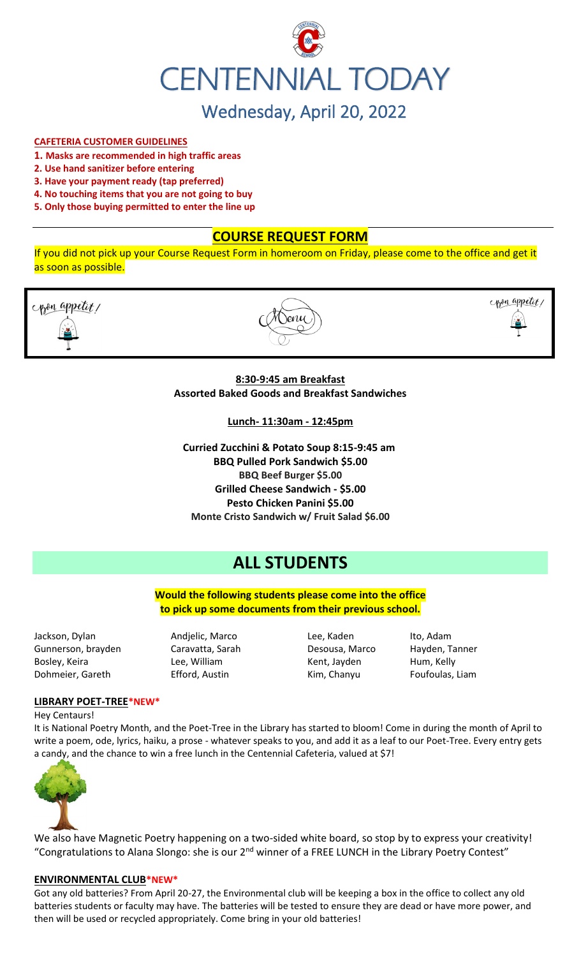

## **CAFETERIA CUSTOMER GUIDELINES**

- **1. Masks are recommended in high traffic areas**
- **2. Use hand sanitizer before entering**
- **3. Have your payment ready (tap preferred)**
- **4. No touching items that you are not going to buy**
- **5. Only those buying permitted to enter the line up**

# **COURSE REQUEST FORM**

If you did not pick up your Course Request Form in homeroom on Friday, please come to the office and get it as soon as possible.





copen appetit,

### **8:30-9:45 am Breakfast Assorted Baked Goods and Breakfast Sandwiches**

**Lunch- 11:30am - 12:45pm**

**Curried Zucchini & Potato Soup 8:15-9:45 am BBQ Pulled Pork Sandwich \$5.00 BBQ Beef Burger \$5.00 Grilled Cheese Sandwich - \$5.00 Pesto Chicken Panini \$5.00 Monte Cristo Sandwich w/ Fruit Salad \$6.00**

# **ALL STUDENTS**

**Would the following students please come into the office to pick up some documents from their previous school.**

Jackson, Dylan Andjelic, Marco Lee, Kaden Ito, Adam Gunnerson, brayden Caravatta, Sarah Desousa, Marco Hayden, Tanner Bosley, Keira **Kent, Lee, William** Kent, Jayden Hum, Kelly Dohmeier, Gareth Efford, Austin Kim, Chanyu Foufoulas, Liam

#### **LIBRARY POET-TREE\*NEW\***

Hey Centaurs!

It is National Poetry Month, and the Poet-Tree in the Library has started to bloom! Come in during the month of April to write a poem, ode, lyrics, haiku, a prose - whatever speaks to you, and add it as a leaf to our Poet-Tree. Every entry gets a candy, and the chance to win a free lunch in the Centennial Cafeteria, valued at \$7!



We also have Magnetic Poetry happening on a two-sided white board, so stop by to express your creativity! "Congratulations to Alana Slongo: she is our 2<sup>nd</sup> winner of a FREE LUNCH in the Library Poetry Contest"

#### **ENVIRONMENTAL CLUB\*NEW\***

Got any old batteries? From April 20-27, the Environmental club will be keeping a box in the office to collect any old batteries students or faculty may have. The batteries will be tested to ensure they are dead or have more power, and then will be used or recycled appropriately. Come bring in your old batteries!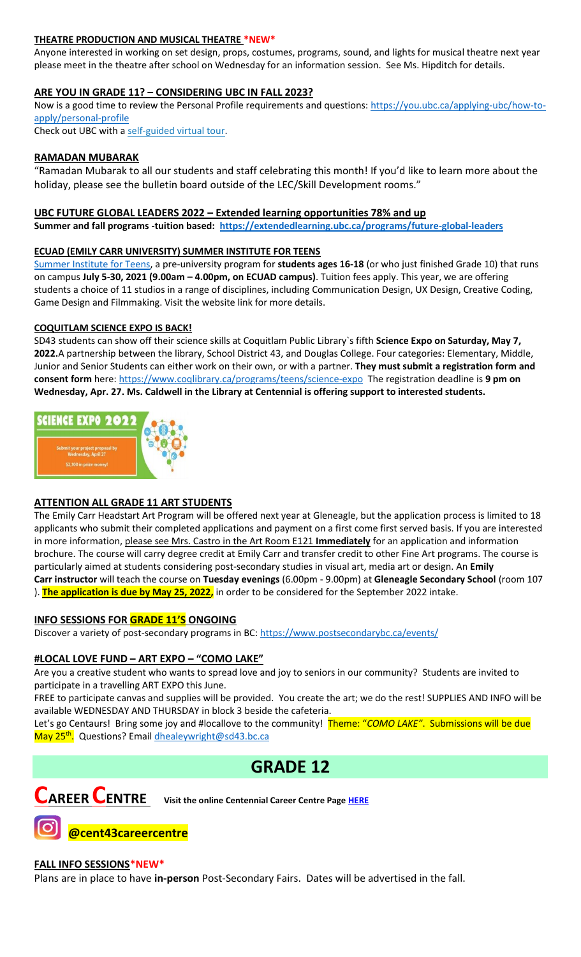## **THEATRE PRODUCTION AND MUSICAL THEATRE \*NEW\***

Anyone interested in working on set design, props, costumes, programs, sound, and lights for musical theatre next year please meet in the theatre after school on Wednesday for an information session. See Ms. Hipditch for details.

# **ARE YOU IN GRADE 11? – CONSIDERING UBC IN FALL 2023?**

Now is a good time to review the Personal Profile requirements and questions: [https://you.ubc.ca/applying-ubc/how-to](https://you.ubc.ca/applying-ubc/how-to-apply/personal-profile)[apply/personal-profile](https://you.ubc.ca/applying-ubc/how-to-apply/personal-profile)

Check out UBC with a self-guided [virtual tour.](https://you.ubc.ca/tours-info-sessions/virtual-tour/)

### **RAMADAN MUBARAK**

"Ramadan Mubarak to all our students and staff celebrating this month! If you'd like to learn more about the holiday, please see the bulletin board outside of the LEC/Skill Development rooms."

#### **UBC FUTURE GLOBAL LEADERS 2022 – Extended learning opportunities 78% and up**

**Summer and fall programs -tuition based: <https://extendedlearning.ubc.ca/programs/future-global-leaders>**

#### **ECUAD (EMILY CARR UNIVERSITY) SUMMER INSTITUTE FOR TEENS**

[Summer Institute for Teens,](https://www.ecuad.ca/academics/teen-programs/summer-institute-for-teens) a pre-university program for **students ages 16-18** (or who just finished Grade 10) that runs on campus **July 5-30, 2021 (9.00am – 4.00pm, on ECUAD campus)**. Tuition fees apply. This year, we are offering students a choice of 11 studios in a range of disciplines, including Communication Design, UX Design, Creative Coding, Game Design and Filmmaking. Visit the website link for more details.

#### **COQUITLAM SCIENCE EXPO IS BACK!**

SD43 students can show off their science skills at Coquitlam Public Library`s fifth **Science Expo on Saturday, May 7, 2022.**A partnership between the library, School District 43, and Douglas College. Four categories: Elementary, Middle, Junior and Senior Students can either work on their own, or with a partner. **They must submit a registration form and consent form** here:<https://www.coqlibrary.ca/programs/teens/science-expo> The registration deadline is **9 pm on Wednesday, Apr. 27. Ms. Caldwell in the Library at Centennial is offering support to interested students.**



## **ATTENTION ALL GRADE 11 ART STUDENTS**

The Emily Carr Headstart Art Program will be offered next year at Gleneagle, but the application process is limited to 18 applicants who submit their completed applications and payment on a first come first served basis. If you are interested in more information, please see Mrs. Castro in the Art Room E121 **Immediately** for an application and information brochure. The course will carry degree credit at Emily Carr and transfer credit to other Fine Art programs. The course is particularly aimed at students considering post-secondary studies in visual art, media art or design. An **Emily Carr instructor** will teach the course on **Tuesday evenings** (6.00pm - 9.00pm) at **Gleneagle Secondary School** (room 107 ). **The application is due by May 25, 2022,** in order to be considered for the September 2022 intake.

## **INFO SESSIONS FOR GRADE 11'S ONGOING**

Discover a variety of post-secondary programs in BC:<https://www.postsecondarybc.ca/events/>

## **#LOCAL LOVE FUND – ART EXPO – "COMO LAKE"**

Are you a creative student who wants to spread love and joy to seniors in our community? Students are invited to participate in a travelling ART EXPO this June.

FREE to participate canvas and supplies will be provided. You create the art; we do the rest! SUPPLIES AND INFO will be available WEDNESDAY AND THURSDAY in block 3 beside the cafeteria.

Let's go Centaurs! Bring some joy and #locallove to the community! Theme: "*COMO LAKE"*. Submissions will be due May 25<sup>th</sup>. Questions? Email <u>dhealeywright@sd43.bc.ca</u>

# **GRADE 12**



**CAREER CENTRE Visit the online Centennial Career Centre Page [HERE](https://www.sd43.bc.ca/school/centennial/ProgramsServices/CareerCentre/experiences/Pages/default.aspx#/=)**

**@cent43careercentre** 

#### **FALL INFO SESSIONS\*NEW\***

Plans are in place to have **in-person** Post-Secondary Fairs. Dates will be advertised in the fall.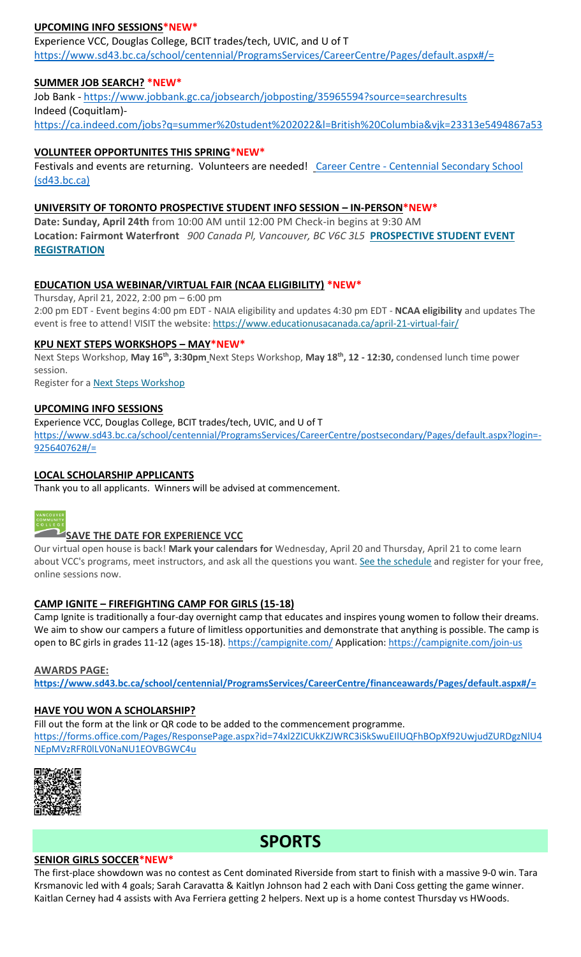# **UPCOMING INFO SESSIONS\*NEW\***

Experience VCC, Douglas College, BCIT trades/tech, UVIC, and U of T <https://www.sd43.bc.ca/school/centennial/ProgramsServices/CareerCentre/Pages/default.aspx#/=>

## **SUMMER JOB SEARCH? \*NEW\***

Job Bank - <https://www.jobbank.gc.ca/jobsearch/jobposting/35965594?source=searchresults> Indeed (Coquitlam) <https://ca.indeed.com/jobs?q=summer%20student%202022&l=British%20Columbia&vjk=23313e5494867a53>

# **VOLUNTEER OPPORTUNITES THIS SPRING\*NEW\***

Festivals and events are returning. Volunteers are needed! Career Centre - Centennial Secondary School [\(sd43.bc.ca\)](https://www.sd43.bc.ca/school/centennial/ProgramsServices/CareerCentre/experiences/Pages/default.aspx#/=)

### **UNIVERSITY OF TORONTO PROSPECTIVE STUDENT INFO SESSION – IN-PERSON\*NEW\***

**Date: Sunday, April 24th** from 10:00 AM until 12:00 PM Check-in begins at 9:30 AM **Location: Fairmont Waterfront** *900 Canada Pl, Vancouver, BC V6C 3L5* **[PROSPECTIVE STUDENT EVENT](https://mx.technolutions.net/ss/c/VpDhrCrvzjOrNk6AZ3TbHjFLbqWBZPhhofjteQ2YNx82CaUosH1dcVhwZYliQGg4fqoAmVG1Ka_8jV1ZqG7kHkEUUWMfwc8VPjIe6VXHcqaY02ME2QCvDFADSudDQ-wU/3kx/RvkltXeQS-KcXTsaf7PNeQ/h1/qokCettkLEwcVkww2NiO3af-alqvB1eOXLnFAgxLQVQ)  [REGISTRATION](https://mx.technolutions.net/ss/c/VpDhrCrvzjOrNk6AZ3TbHjFLbqWBZPhhofjteQ2YNx82CaUosH1dcVhwZYliQGg4fqoAmVG1Ka_8jV1ZqG7kHkEUUWMfwc8VPjIe6VXHcqaY02ME2QCvDFADSudDQ-wU/3kx/RvkltXeQS-KcXTsaf7PNeQ/h1/qokCettkLEwcVkww2NiO3af-alqvB1eOXLnFAgxLQVQ)**

## **EDUCATION USA WEBINAR/VIRTUAL FAIR (NCAA ELIGIBILITY) \*NEW\***

Thursday, April 21, 2022, 2:00 pm – 6:00 pm 2:00 pm EDT - Event begins 4:00 pm EDT - NAIA eligibility and updates 4:30 pm EDT - **NCAA eligibility** and updates The event is free to attend! VISIT the website: <https://www.educationusacanada.ca/april-21-virtual-fair/>

#### **KPU NEXT STEPS WORKSHOPS – MAY\*NEW\***

Next Steps Workshop, **May 16th, 3:30pm** Next Steps Workshop, **May 18th, 12 - 12:30,** condensed lunch time power session.

Register for a [Next Steps Workshop](http://crm-link.kpu.ca/c/7/eyJhaSI6MTY0ODQwMjEsImUiOiJkaGVhbGV5d3JpZ2h0QHNkNDMuYmMuY2EiLCJyaSI6ImNvbnRhY3QtNGZkMzgzYmJkZmY3ZWExMWE4MTUwMDBkM2EwYzhjNmQtZDI5MWU3MGZkMWYyNDJlYjk5OGU2OTFmYjc2ZGZmMjMiLCJycSI6IjAyLWIyMjEwMy0zOTg5OTViYTI1NGQ0NDE2YjBlMDQyODJkZjY3MTlhNiIsInBoIjpudWxsLCJtIjpmYWxzZSwidWkiOiIyIiwidW4iOiIiLCJ1IjoiaHR0cHM6Ly93d3cua3B1LmNhL2luZm8tc2Vzc2lvbnMvZnV0dXJlLXN0dWRlbnRzL25leHQtc3RlcHMvbWF5LTIwMjI_X2NsZGVlPVpNTFlTR1BPYXdvdUI0T0xzQnBsUHZFU0g1eUhvbnhCQlpuNFlnYzRINkV6V0ZWOVpLUWpKTmxic0hFM3RVQmImcmVjaXBpZW50aWQ9Y29udGFjdC00ZmQzODNiYmRmZjdlYTExYTgxNTAwMGQzYTBjOGM2ZC1kMjkxZTcwZmQxZjI0MmViOTk4ZTY5MWZiNzZkZmYyMyZlc2lkPTFkZmIzOThiLTRiYmItZWMxMS05ODNmLTAwMjI0ODNjYzE1YSJ9/SBu6RJHIXI6GRb2GoyGQMA)

#### **UPCOMING INFO SESSIONS**

Experience VCC, Douglas College, BCIT trades/tech, UVIC, and U of T [https://www.sd43.bc.ca/school/centennial/ProgramsServices/CareerCentre/postsecondary/Pages/default.aspx?login=-](https://www.sd43.bc.ca/school/centennial/ProgramsServices/CareerCentre/postsecondary/Pages/default.aspx?login=-925640762#/=)  $925640762\frac{\#}{2}$ 

## **LOCAL SCHOLARSHIP APPLICANTS**

Thank you to all applicants. Winners will be advised at commencement.



## **SAVE THE DATE FOR EXPERIENCE VCC**

Our virtual open house is back! **Mark your calendars for** Wednesday, April 20 and Thursday, April 21 to come learn about VCC's programs, meet instructors, and ask all the questions you want. [See the schedule](https://vcc.us2.list-manage.com/track/click?u=265d8acc7aa162eb26eb78d5e&id=8da9ab4282&e=d1966a5f66) and register for your free, online sessions now.

## **CAMP IGNITE – FIREFIGHTING CAMP FOR GIRLS (15-18)**

Camp Ignite is traditionally a four-day overnight camp that educates and inspires young women to follow their dreams. We aim to show our campers a future of limitless opportunities and demonstrate that anything is possible. The camp is open to BC girls in grades 11-12 (ages 15-18).<https://campignite.com/> Application:<https://campignite.com/join-us>

#### **AWARDS PAGE:**

**<https://www.sd43.bc.ca/school/centennial/ProgramsServices/CareerCentre/financeawards/Pages/default.aspx#/=>**

#### **HAVE YOU WON A SCHOLARSHIP?**

Fill out the form at the link or QR code to be added to the commencement programme. [https://forms.office.com/Pages/ResponsePage.aspx?id=74xl2ZICUkKZJWRC3iSkSwuEIlUQFhBOpXf92UwjudZURDgzNlU4](https://forms.office.com/Pages/ResponsePage.aspx?id=74xl2ZICUkKZJWRC3iSkSwuEIlUQFhBOpXf92UwjudZURDgzNlU4NEpMVzRFR0lLV0NaNU1EOVBGWC4u) [NEpMVzRFR0lLV0NaNU1EOVBGWC4u](https://forms.office.com/Pages/ResponsePage.aspx?id=74xl2ZICUkKZJWRC3iSkSwuEIlUQFhBOpXf92UwjudZURDgzNlU4NEpMVzRFR0lLV0NaNU1EOVBGWC4u)



**SPORTS**

#### **SENIOR GIRLS SOCCER\*NEW\***

The first-place showdown was no contest as Cent dominated Riverside from start to finish with a massive 9-0 win. Tara Krsmanovic led with 4 goals; Sarah Caravatta & Kaitlyn Johnson had 2 each with Dani Coss getting the game winner. Kaitlan Cerney had 4 assists with Ava Ferriera getting 2 helpers. Next up is a home contest Thursday vs HWoods.